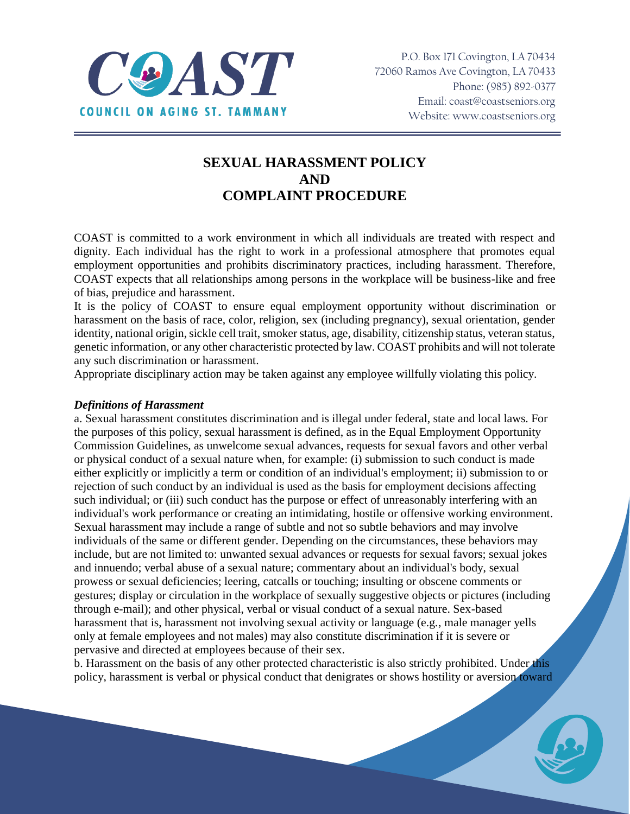

# **SEXUAL HARASSMENT POLICY AND COMPLAINT PROCEDURE**

COAST is committed to a work environment in which all individuals are treated with respect and dignity. Each individual has the right to work in a professional atmosphere that promotes equal employment opportunities and prohibits discriminatory practices, including harassment. Therefore, COAST expects that all relationships among persons in the workplace will be business-like and free of bias, prejudice and harassment.

It is the policy of COAST to ensure equal employment opportunity without discrimination or harassment on the basis of race, color, religion, sex (including pregnancy), sexual orientation, gender identity, national origin, sickle cell trait, smoker status, age, disability, citizenship status, veteran status, genetic information, or any other characteristic protected by law. COAST prohibits and will not tolerate any such discrimination or harassment.

Appropriate disciplinary action may be taken against any employee willfully violating this policy.

### *Definitions of Harassment*

a. Sexual harassment constitutes discrimination and is illegal under federal, state and local laws. For the purposes of this policy, sexual harassment is defined, as in the Equal Employment Opportunity Commission Guidelines, as unwelcome sexual advances, requests for sexual favors and other verbal or physical conduct of a sexual nature when, for example: (i) submission to such conduct is made either explicitly or implicitly a term or condition of an individual's employment; ii) submission to or rejection of such conduct by an individual is used as the basis for employment decisions affecting such individual; or (iii) such conduct has the purpose or effect of unreasonably interfering with an individual's work performance or creating an intimidating, hostile or offensive working environment. Sexual harassment may include a range of subtle and not so subtle behaviors and may involve individuals of the same or different gender. Depending on the circumstances, these behaviors may include, but are not limited to: unwanted sexual advances or requests for sexual favors; sexual jokes and innuendo; verbal abuse of a sexual nature; commentary about an individual's body, sexual prowess or sexual deficiencies; leering, catcalls or touching; insulting or obscene comments or gestures; display or circulation in the workplace of sexually suggestive objects or pictures (including through e-mail); and other physical, verbal or visual conduct of a sexual nature. Sex-based harassment that is, harassment not involving sexual activity or language (e.g., male manager yells only at female employees and not males) may also constitute discrimination if it is severe or pervasive and directed at employees because of their sex.

b. Harassment on the basis of any other protected characteristic is also strictly prohibited. Under this policy, harassment is verbal or physical conduct that denigrates or shows hostility or aversion toward

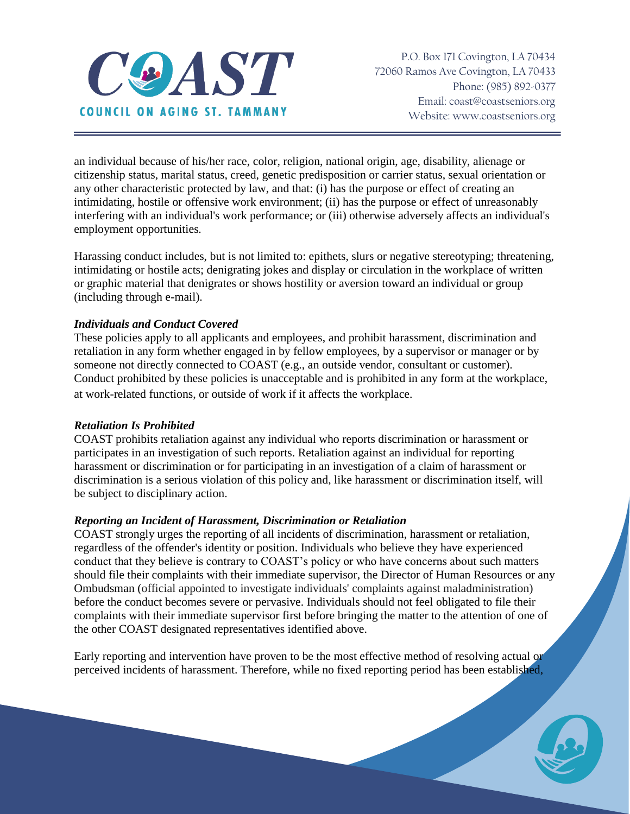

an individual because of his/her race, color, religion, national origin, age, disability, alienage or citizenship status, marital status, creed, genetic predisposition or carrier status, sexual orientation or any other characteristic protected by law, and that: (i) has the purpose or effect of creating an intimidating, hostile or offensive work environment; (ii) has the purpose or effect of unreasonably interfering with an individual's work performance; or (iii) otherwise adversely affects an individual's employment opportunities.

Harassing conduct includes, but is not limited to: epithets, slurs or negative stereotyping; threatening, intimidating or hostile acts; denigrating jokes and display or circulation in the workplace of written or graphic material that denigrates or shows hostility or aversion toward an individual or group (including through e-mail).

## *Individuals and Conduct Covered*

These policies apply to all applicants and employees, and prohibit harassment, discrimination and retaliation in any form whether engaged in by fellow employees, by a supervisor or manager or by someone not directly connected to COAST (e.g., an outside vendor, consultant or customer). Conduct prohibited by these policies is unacceptable and is prohibited in any form at the workplace, at work-related functions, or outside of work if it affects the workplace.

#### *Retaliation Is Prohibited*

COAST prohibits retaliation against any individual who reports discrimination or harassment or participates in an investigation of such reports. Retaliation against an individual for reporting harassment or discrimination or for participating in an investigation of a claim of harassment or discrimination is a serious violation of this policy and, like harassment or discrimination itself, will be subject to disciplinary action.

## *Reporting an Incident of Harassment, Discrimination or Retaliation*

COAST strongly urges the reporting of all incidents of discrimination, harassment or retaliation, regardless of the offender's identity or position. Individuals who believe they have experienced conduct that they believe is contrary to COAST's policy or who have concerns about such matters should file their complaints with their immediate supervisor, the Director of Human Resources or any Ombudsman (official appointed to investigate individuals' complaints against maladministration) before the conduct becomes severe or pervasive. Individuals should not feel obligated to file their complaints with their immediate supervisor first before bringing the matter to the attention of one of the other COAST designated representatives identified above.

Early reporting and intervention have proven to be the most effective method of resolving actual or perceived incidents of harassment. Therefore, while no fixed reporting period has been established,